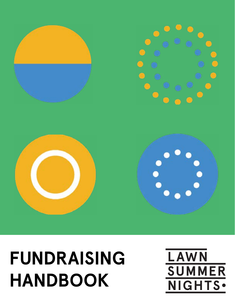### **FUNDRAISING HANDBOOK**





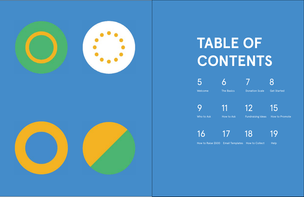

### **TABLE OF CONTENTS**

5 6 7 8 Welcome The Basics Donation Scale Get Started

9 11 12 15

Who to Ask How to Ask Fundraising Ideas How to Promote

16 17 18 19

How to Raise \$500 Email Templates How to Collect Help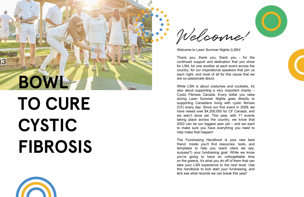# В **BOWL**

# **TO CURE CYSTIC FIBROSIS**



Welcome to Lawn Summer Nights (LSN) !

Thank you, thank you, thank you - for the continued support and dedication that you show for LSN, for one another at each event across the country, for our inspirational speakers that join us each night, and most of all for this cause that we are so passionate about.

While LSN is about costumes and cocktails, it's also about supporting a very important charity – Cystic Fibrosis Canada. Every dollar you raise during Lawn Summer Nights goes directly to supporting Canadians living with cystic fibrosis (CF) every day. Since our first event in 2009, we have raised over \$ 4 , 200,000 for CF Canada, and we aren't done yet. This year, with 11 events taking place across the country, we know that 2022 can be our biggest year yet – and we want to make sure you have everything you need to help make that happen!

The *Fundraising Handbook* is your new best friend. Inside you'll find resources, tools, and templates to help you reach (dare we say, surpass?) your fundraising goal. While we know you're going to have an unforgettable time on the greens, it's what you do off of them that can take your LSN experience to the next level. Use this handbook to kick start your fundraising, and let's see what records we can break this year!





Welcome!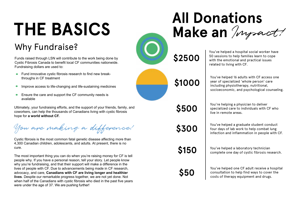# **THE BASICS**

### Why Fundraise?

Funds raised through LSN will contribute to the work being done by Cystic Fibrosis Canada to benefit local CF communities nationwide. Fundraising dollars are used to:

- Fund innovative cystic fibrosis research to find new breakthroughs in CF treatment
- Improve access to life-changing and life-sustaining medicines  $\bullet$
- Ensure the care and support the CF community needs is available

Ultimately, your fundraising efforts, and the support of your friends, family, and coworkers, can help the thousands of Canadians living with cystic fibrosis hope for **a world without CF.**

You are making a difference!

Cystic fibrosis is the most common fatal genetic disease affecting more than 4,300 Canadian children, adolescents, and adults. At present, there is no cure.

The most important thing you can do when you're raising money for CF is tell people why. If you have a personal reason, tell your story. Let people know why you're fundraising, and that their support will make a difference in the lives of people with CF. Due to advancements being made in CF research, advocacy, and care, **Canadians with CF are living longer and healthier lives**. Despite our remarkable progress together, we are not yet done. Not when half of the Canadians with cystic fibrosis who died in the past five years were under the age of 37. We are pushing further!

You've helped 16 adults with CF access one year of specialized 'whole person' care including physiotherapy, nutritional, socioeconomic, and psychological counseling.

You're helping a physician to deliver specialized care to individuals with CF who live in remote areas.



You've helped a graduate student conduct four days of lab work to help combat lung infection and inflammation in people with CF.

You've helped a laboratory technician complete one day of cystic fibrosis research.

You've helped one CF adult receive a hospital consultation to help find ways to cover the costs of therapy equipment and drugs.

You've helped a hospital social worker have 50 sessions to help families learn to cope with the emotional and practical issues related to living with CF.

**Make an** Impact!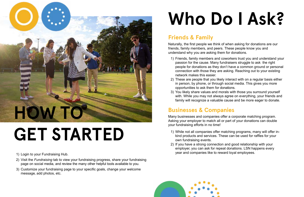

### **GET STARTED**

- 1) Login to your Fundraising Hub.
- 2) Visit the *Fundraising* tab to view your fundraising progress, share your fundraising page on social media, and review the many other helpful tools available to you.
- 3) Customize your fundraising page to your specific goals, change your welcome message, add photos, etc.

# **Who Do I Ask?**

#### **Friends & Family**

Naturally, the first people we think of when asking for donations are our friends, family members, and peers. These people know you and understand why you are asking them for donations.

1) Friends, family members and coworkers trust you and understand your passion for the cause. Many fundraisers struggle to ask the right people for donations as they don't have a common ground or personal connection with those they are asking. Reaching out to your existing

2) These are people that you likely interact with on a regular basis either in person, by phone, or through social media. This gives you more

- network makes this easier.
- opportunities to ask them for donations.
- 

3) You likely share values and morals with those you surround yourself with. While you may not always agree on everything, your friends and family will recognize a valuable cause and be more eager to donate.

#### **Businesses & Companies**

Many businesses and companies offer a corporate matching program. Asking your employer to match all or part of your donations can double your fundraising efforts in no time!

1) While not all companies offer matching programs, many will offer inkind products and services. These can be used for raffles for your

- own fundraising events.
- 2) If you have a strong connection and good relationship with your year and companies like to reward loyal employees.



employer, you can ask for repeat donations. LSN happens every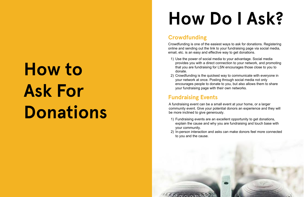# **How to Ask For Donations**

### **How Do I Ask?**

#### **Crowdfunding**

Crowdfunding is one of the easiest ways to ask for donations. Registering online and sending out the link to your fundraising page via social media, email, etc. is an easy and effective way to get donations.

provides you with a direct connection to your network, and promoting that you are fundraising for LSN encourages those close to you to

- 1) Use the power of social media to your advantage. Social media donate.
- your network at once. Posting through social media not only your fundraising page with their own networks.

2) Crowdfunding is the quickest way to communicate with everyone in encourages people to donate to you, but also allows them to share

#### **Fundraising Events**

A fundraising event can be a small event at your home, or a larger community event. Give your potential donors an experience and they will be more inclined to give generously.

explain the cause and why you are fundraising and touch base with

- 1) Fundraising events are an excellent opportunity to get donations, your community.
- to you and the cause.

600000000

2) In-person interaction and asks can make donors feel more connected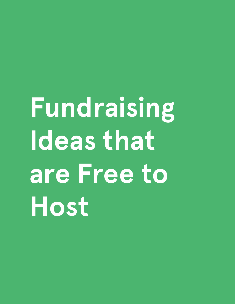# **Fundraising Ideas that are Free to Host**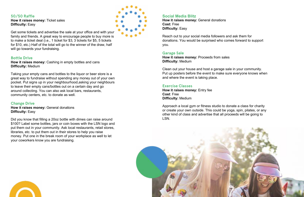#### **50/50 Raffle**

**How it raises money:** Ticket sales **Difficulty:** Easy

Get some tickets and advertise the sale at your office and with your family and friends. A great way to encourage people to buy more is to make a ticket deal (i.e., 1 ticket for \$3, 3 tickets for \$5, 5 tickets for \$10, etc.) Half of the total will go to the winner of the draw, half will go towards your fundraising.

#### **Bottle Drive**

**How it raises money:** General donations **Difficulty: Easy** 

**How it raises money:** Cashing in empty bottles and cans **Difficulty:** Medium

**How it raises money:** General donations **Cost:** Free **Difficulty: Easy** 

Taking your empty cans and bottles to the liquor or beer store is a great way to fundraise without spending any money out of your own pocket. Put signs up in your neighbourhood,asking your neighbours to leave their empty cans/bottles out on a certain day and go around collecting. You can also ask local bars, restaurants, community centers, etc. to donate as well.

#### **Change Drive**

Did you know that filling a 20oz bottle with dimes can raise around \$100? Label some bottles, jars or coin boxes with the LSN logo and put them out in your community. Ask local restaurants, retail stores, libraries, etc. to put them out in their stores to help you raise money. Put one in the break room of your workplace as well to let your coworkers know you are fundraising.



#### **Social Media Blitz**

Reach out to your social media followers and ask them for donations. You would be surprised who comes forward to support you.

#### **Garage Sale**

**How it raises money:** Proceeds from sales **Difficulty:** Medium

Clean out your house and host a garage sale in your community. Put up posters before the event to make sure everyone knows when and where the event is taking place.

#### **Exercise Classes**

**How it raises money:** Entry fee **Cost**: Free **Difficulty:** Medium

Approach a local gym or fitness studio to donate a class for charity or create your own outside. This could be yoga, spin, pilates, or any other kind of class and advertise that all proceeds will be going to LSN.



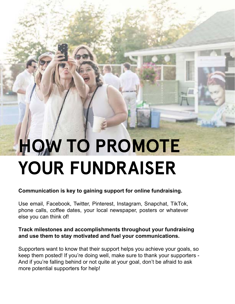### **HOW TO PROMOTE YOUR FUNDRAISER**

#### **Communication is key to gaining support for online fundraising.**

Use email, Facebook, Twitter, Pinterest, Instagram, Snapchat, TikTok, phone calls, coffee dates, your local newspaper, posters or whatever else you can think of!

#### **Track milestones and accomplishments throughout your fundraising and use them to stay motivated and fuel your communications.**

Supporters want to know that their support helps you achieve your goals, so keep them posted! If you're doing well, make sure to thank your supporters - And if you're falling behind or not quite at your goal, don't be afraid to ask more potential supporters for help!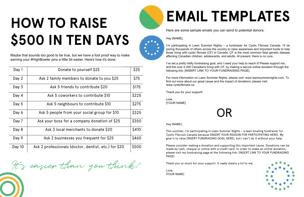### **HOW TO RAISE \$500 IN TEN DAYS**

| Day 1  | Donate to yourself \$25                              | \$25  |
|--------|------------------------------------------------------|-------|
| Day 2  | Ask 2 family members to donate to you \$25           | \$75  |
| Day 3  | Ask 5 friends to contribute \$20                     | \$175 |
| Day 4  | Ask 5 coworkers to contribute \$10                   | \$225 |
| Day 5  | Ask 5 neighbours to contribute \$10                  | \$275 |
| Day 6  | Ask 5 people from your social group for \$10         | \$325 |
| Day 7  | Ask your boss for a company donation of \$25         | \$350 |
| Day 8  | Ask 3 local merchants to donate \$20                 | \$410 |
| Day 9  | Ask 2 businesses you frequent for \$25               | \$460 |
| Day 10 | Ask 2 professionals (doctor, dentist, etc.) for \$20 | \$500 |

It's easier than you think!



Maybe that sounds too good to be true, but we have a fool proof way to make earning your #HighBowler pins a little bit easier. Here's how it's done:

### **EMAIL TEMPLATES**

### OR



Hey [NAME],

This summer, I'm participating in Lawn Summer Nights – a lawn bowling fundraiser for Cystic Fibrosis Canada because [INSERT YOUR REASON FOR PARTICIPATING HERE]. My goal is to raise [INSERT FUNDRAISING GOAL HERE], but I can't do it without your help.

I've set a pretty hefty fundraising goal, and I need your help to reach it! Please support me, and the over 4,300 Canadians living with CF, by making a secure online donation through the following link: [INSERT LINK TO YOUR FUNDRAISING PAGE]

Please consider making a donation and supporting this important cause. Donations can be made by cash, cheque or online with a credit card. In order to make an online donation, please visit my fundraising page at the following link: [INSERT LINK TO YOUR FUNDRAISING PAGE]

Thank you so much for your support. It really means a lot to me.

Love, [YOUR NAME]

Here are some sample emails you can send to potential donors:

Hey [NAME],

I'm participating in Lawn Summer Nights – a fundraiser for Cystic Fibrosis Canada. I'll be joining thousands of others across the country to raise awareness and important funds to help those living with cystic fibrosis (CF) in Canada. CF is the most common fatal genetic disease affecting Canadian children, adolescents, and adults. At present, there is no cure.

For more information on Lawn Summer Nights, please visit: [www.lawnsummernights.com.](https://www.lawnsummernights.com/) To find out more about our great cause and the impact of donations, please visit: [www.cysticfibrosis.ca.](https://www.cysticfibrosis.ca/)

Thank you for your support!

Love, [YOUR NAME]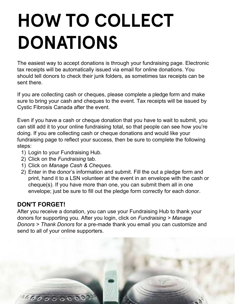### **HOW TO COLLECT DONATIONS**

The easiest way to accept donations is through your fundraising page. Electronic tax receipts will be automatically issued via email for online donations. You should tell donors to check their junk folders, as sometimes tax receipts can be sent there.

If you are collecting cash or cheques, please complete a pledge form and make sure to bring your cash and cheques to the event. Tax receipts will be issued by Cystic Fibrosis Canada after the event.

Even if you have a cash or cheque donation that you have to wait to submit, you can still add it to your online fundraising total, so that people can see how you're doing. If you are collecting cash or cheque donations and would like your fundraising page to reflect your success, then be sure to complete the following steps:

- 1) Login to your Fundraising Hub.
- 2) Click on the *Fundraising* tab.
- 1) Click on *Manage Cash & Cheques.*
- 2) Enter in the donor's information and submit. Fill the out a pledge form and print, hand it to a LSN volunteer at the event in an envelope with the cash or cheque(s). If you have more than one, you can submit them all in one envelope; just be sure to fill out the pledge form correctly for each donor.

#### **DON'T FORGET!**

After you receive a donation, you can use your Fundraising Hub to thank your donors for supporting you. After you login, click on *Fundraising > Manage Donors > Thank Donors* for a pre-made thank you email you can customize and send to all of your online supporters.